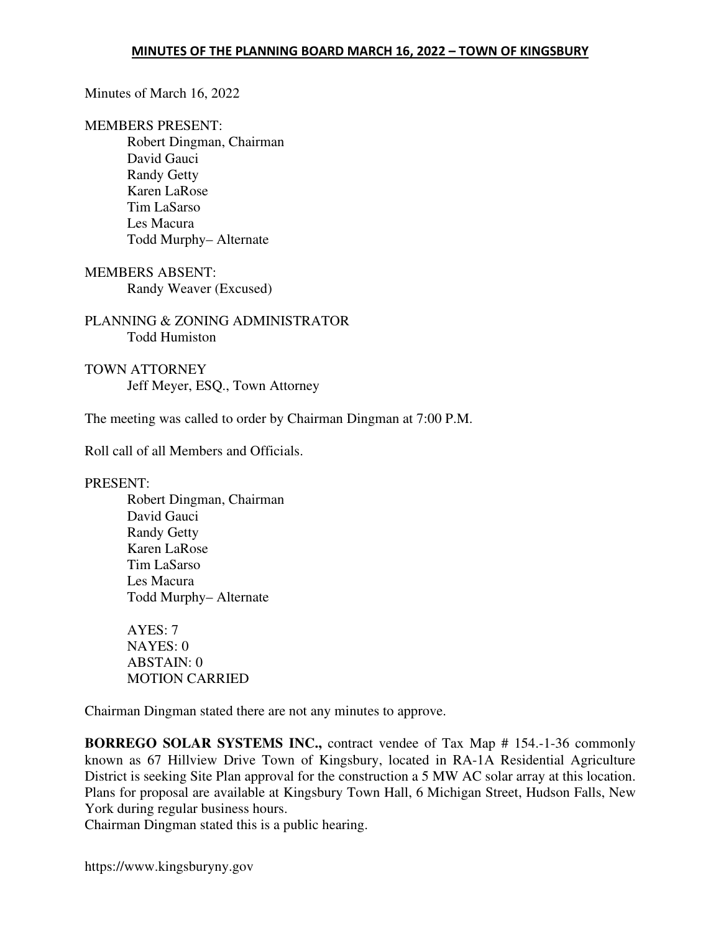#### Minutes of March 16, 2022

#### MEMBERS PRESENT:

Robert Dingman, Chairman David Gauci Randy Getty Karen LaRose Tim LaSarso Les Macura Todd Murphy– Alternate

MEMBERS ABSENT:

Randy Weaver (Excused)

PLANNING & ZONING ADMINISTRATOR Todd Humiston

TOWN ATTORNEY Jeff Meyer, ESQ., Town Attorney

The meeting was called to order by Chairman Dingman at 7:00 P.M.

Roll call of all Members and Officials.

PRESENT:

Robert Dingman, Chairman David Gauci Randy Getty Karen LaRose Tim LaSarso Les Macura Todd Murphy– Alternate

AYES: 7 NAYES: 0 ABSTAIN: 0 MOTION CARRIED

Chairman Dingman stated there are not any minutes to approve.

**BORREGO SOLAR SYSTEMS INC.,** contract vendee of Tax Map # 154.-1-36 commonly known as 67 Hillview Drive Town of Kingsbury, located in RA-1A Residential Agriculture District is seeking Site Plan approval for the construction a 5 MW AC solar array at this location. Plans for proposal are available at Kingsbury Town Hall, 6 Michigan Street, Hudson Falls, New York during regular business hours.

Chairman Dingman stated this is a public hearing.

https://www.kingsburyny.gov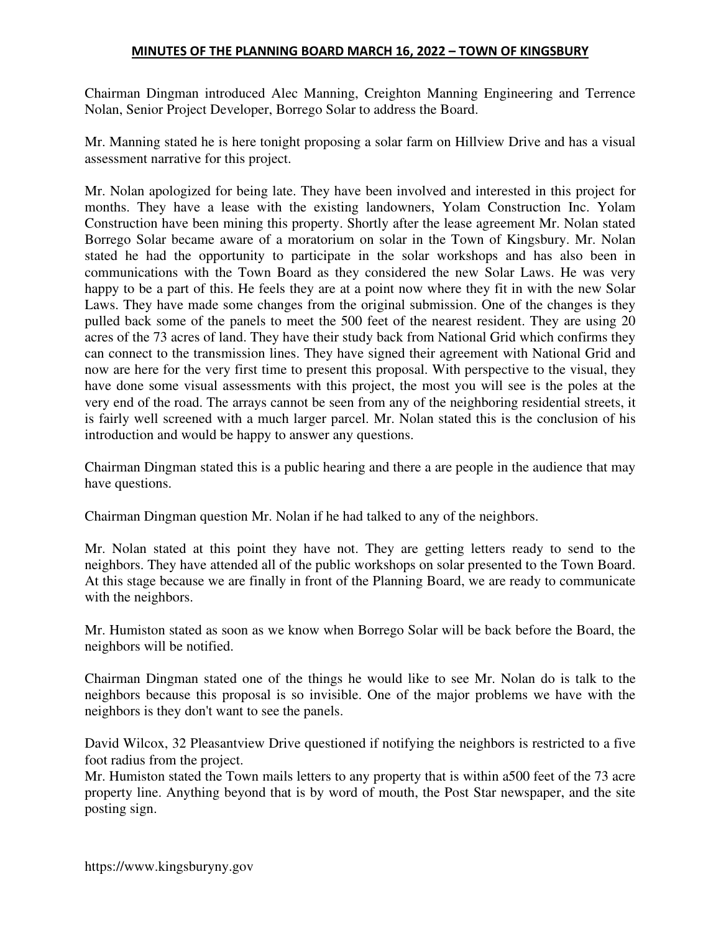## MINUTES OF THE PLANNING BOARD MARCH 16, 2022 – TOWN OF KINGSBURY

Chairman Dingman introduced Alec Manning, Creighton Manning Engineering and Terrence Nolan, Senior Project Developer, Borrego Solar to address the Board.

Mr. Manning stated he is here tonight proposing a solar farm on Hillview Drive and has a visual assessment narrative for this project.

Mr. Nolan apologized for being late. They have been involved and interested in this project for months. They have a lease with the existing landowners, Yolam Construction Inc. Yolam Construction have been mining this property. Shortly after the lease agreement Mr. Nolan stated Borrego Solar became aware of a moratorium on solar in the Town of Kingsbury. Mr. Nolan stated he had the opportunity to participate in the solar workshops and has also been in communications with the Town Board as they considered the new Solar Laws. He was very happy to be a part of this. He feels they are at a point now where they fit in with the new Solar Laws. They have made some changes from the original submission. One of the changes is they pulled back some of the panels to meet the 500 feet of the nearest resident. They are using 20 acres of the 73 acres of land. They have their study back from National Grid which confirms they can connect to the transmission lines. They have signed their agreement with National Grid and now are here for the very first time to present this proposal. With perspective to the visual, they have done some visual assessments with this project, the most you will see is the poles at the very end of the road. The arrays cannot be seen from any of the neighboring residential streets, it is fairly well screened with a much larger parcel. Mr. Nolan stated this is the conclusion of his introduction and would be happy to answer any questions.

Chairman Dingman stated this is a public hearing and there a are people in the audience that may have questions.

Chairman Dingman question Mr. Nolan if he had talked to any of the neighbors.

Mr. Nolan stated at this point they have not. They are getting letters ready to send to the neighbors. They have attended all of the public workshops on solar presented to the Town Board. At this stage because we are finally in front of the Planning Board, we are ready to communicate with the neighbors.

Mr. Humiston stated as soon as we know when Borrego Solar will be back before the Board, the neighbors will be notified.

Chairman Dingman stated one of the things he would like to see Mr. Nolan do is talk to the neighbors because this proposal is so invisible. One of the major problems we have with the neighbors is they don't want to see the panels.

David Wilcox, 32 Pleasantview Drive questioned if notifying the neighbors is restricted to a five foot radius from the project.

Mr. Humiston stated the Town mails letters to any property that is within a500 feet of the 73 acre property line. Anything beyond that is by word of mouth, the Post Star newspaper, and the site posting sign.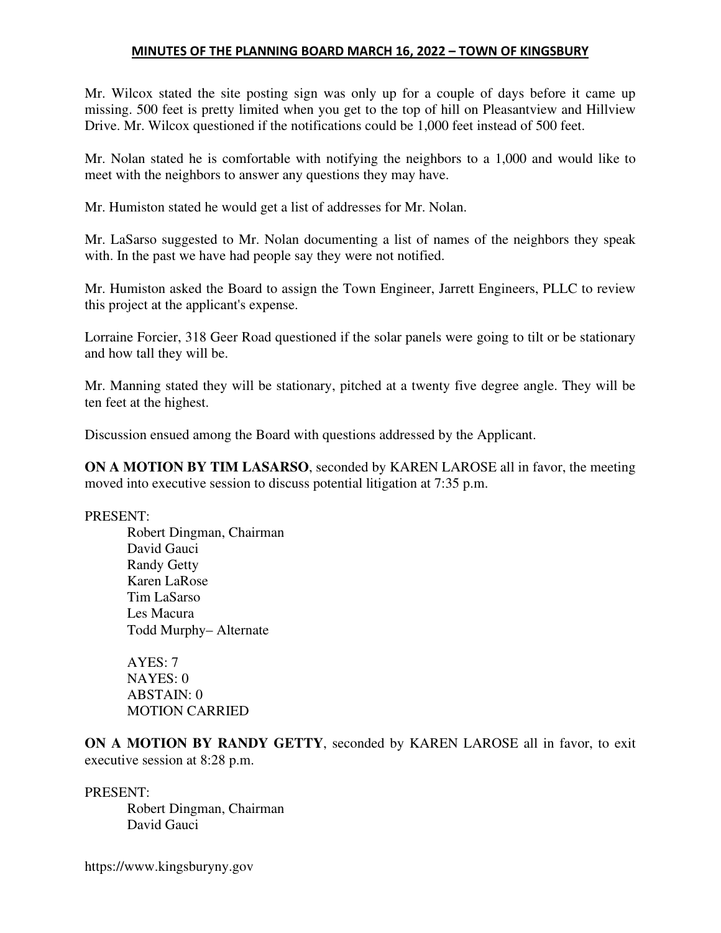### MINUTES OF THE PLANNING BOARD MARCH 16, 2022 – TOWN OF KINGSBURY

Mr. Wilcox stated the site posting sign was only up for a couple of days before it came up missing. 500 feet is pretty limited when you get to the top of hill on Pleasantview and Hillview Drive. Mr. Wilcox questioned if the notifications could be 1,000 feet instead of 500 feet.

Mr. Nolan stated he is comfortable with notifying the neighbors to a 1,000 and would like to meet with the neighbors to answer any questions they may have.

Mr. Humiston stated he would get a list of addresses for Mr. Nolan.

Mr. LaSarso suggested to Mr. Nolan documenting a list of names of the neighbors they speak with. In the past we have had people say they were not notified.

Mr. Humiston asked the Board to assign the Town Engineer, Jarrett Engineers, PLLC to review this project at the applicant's expense.

Lorraine Forcier, 318 Geer Road questioned if the solar panels were going to tilt or be stationary and how tall they will be.

Mr. Manning stated they will be stationary, pitched at a twenty five degree angle. They will be ten feet at the highest.

Discussion ensued among the Board with questions addressed by the Applicant.

**ON A MOTION BY TIM LASARSO**, seconded by KAREN LAROSE all in favor, the meeting moved into executive session to discuss potential litigation at 7:35 p.m.

PRESENT:

Robert Dingman, Chairman David Gauci Randy Getty Karen LaRose Tim LaSarso Les Macura Todd Murphy– Alternate

AYES: 7  $NAYES: 0$ ABSTAIN: 0 MOTION CARRIED

**ON A MOTION BY RANDY GETTY**, seconded by KAREN LAROSE all in favor, to exit executive session at 8:28 p.m.

PRESENT:

Robert Dingman, Chairman David Gauci

https://www.kingsburyny.gov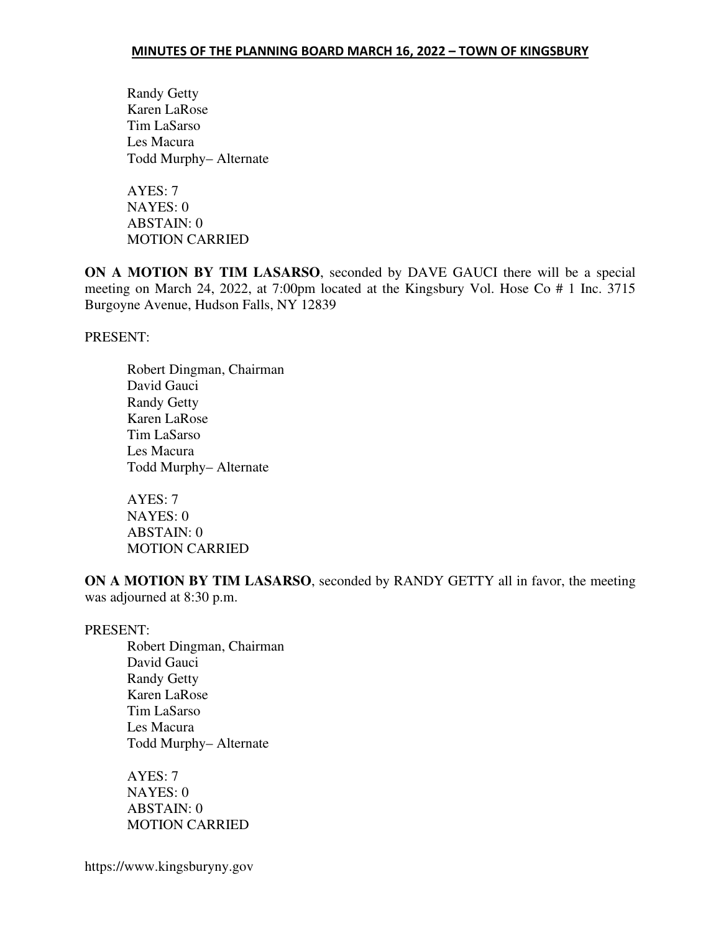Randy Getty Karen LaRose Tim LaSarso Les Macura Todd Murphy– Alternate

AYES: 7 NAYES: 0 ABSTAIN: 0 MOTION CARRIED

**ON A MOTION BY TIM LASARSO**, seconded by DAVE GAUCI there will be a special meeting on March 24, 2022, at 7:00pm located at the Kingsbury Vol. Hose Co # 1 Inc. 3715 Burgoyne Avenue, Hudson Falls, NY 12839

PRESENT:

Robert Dingman, Chairman David Gauci Randy Getty Karen LaRose Tim LaSarso Les Macura Todd Murphy– Alternate

AYES: 7 NAYES: 0 ABSTAIN: 0 MOTION CARRIED

**ON A MOTION BY TIM LASARSO**, seconded by RANDY GETTY all in favor, the meeting was adjourned at 8:30 p.m.

### PRESENT:

Robert Dingman, Chairman David Gauci Randy Getty Karen LaRose Tim LaSarso Les Macura Todd Murphy– Alternate

AYES: 7 NAYES: 0 ABSTAIN: 0 MOTION CARRIED

https://www.kingsburyny.gov